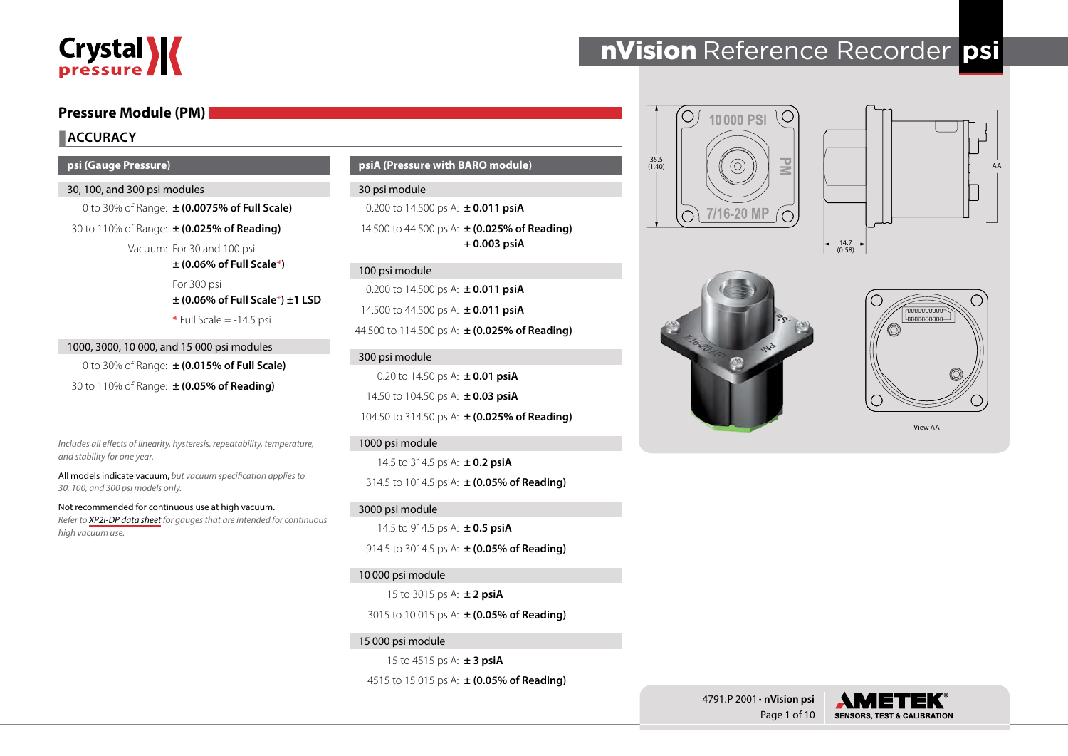# Crystal **X**

# **Pressure Module (PM)**

# **ACCURACY**

#### **psi (Gauge Pressure)**

#### 30, 100, and 300 psi modules

0 to 30% of Range: **± (0.0075% of Full Scale)** 30 to 110% of Range: **± (0.025% of Reading)**

Vacuum: For 30 and 100 psi

**± (0.06% of Full Scale\*)** For 300 psi **± (0.06% of Full Scale**\***) ±1 LSD \*** Full Scale = -14.5 psi

1000, 3000, 10 000, and 15 000 psi modules 0 to 30% of Range: **± (0.015% of Full Scale)** 30 to 110% of Range: **± (0.05% of Reading)**

*Includes all effects of linearity, hysteresis, repeatability, temperature, and stability for one year.*

All models indicate vacuum, *but vacuum specification applies to 30, 100, and 300 psi models only.*

Not recommended for continuous use at high vacuum. *Refer to [XP2i-DP data sheet](http://www.ametekcalibration.com/products/pressure/digital-pressure-gauges/xp2i-dp-differential-pressure-gauge) for gauges that are intended for continuous high vacuum use.* 

**psiA (Pressure with BARO module)**

#### 30 psi module

0.200 to 14.500 psiA: **± 0.011 psiA** 14.500 to 44.500 psiA: **± (0.025% of Reading) + 0.003 psiA**

#### 100 psi module

0.200 to 14.500 psiA: **± 0.011 psiA** 14.500 to 44.500 psiA: **± 0.011 psiA** 44.500 to 114.500 psiA: **± (0.025% of Reading)**

#### 300 psi module

0.20 to 14.50 psiA: **± 0.01 psiA** 14.50 to 104.50 psiA: **± 0.03 psiA** 104.50 to 314.50 psiA: **± (0.025% of Reading)**

#### 1000 psi module

14.5 to 314.5 psiA: **± 0.2 psiA** 314.5 to 1014.5 psiA: **± (0.05% of Reading)**

#### 3000 psi module

14.5 to 914.5 psiA: **± 0.5 psiA** 914.5 to 3014.5 psiA: **± (0.05% of Reading)**

### 10 000 psi module

15 to 3015 psiA: **± 2 psiA**

3015 to 10 015 psiA: **± (0.05% of Reading)**

### 15 000 psi module

15 to 4515 psiA: **± 3 psiA**

4515 to 15 015 psiA: **± (0.05% of Reading)**

# nVision Reference Recorder **psi**









View AA



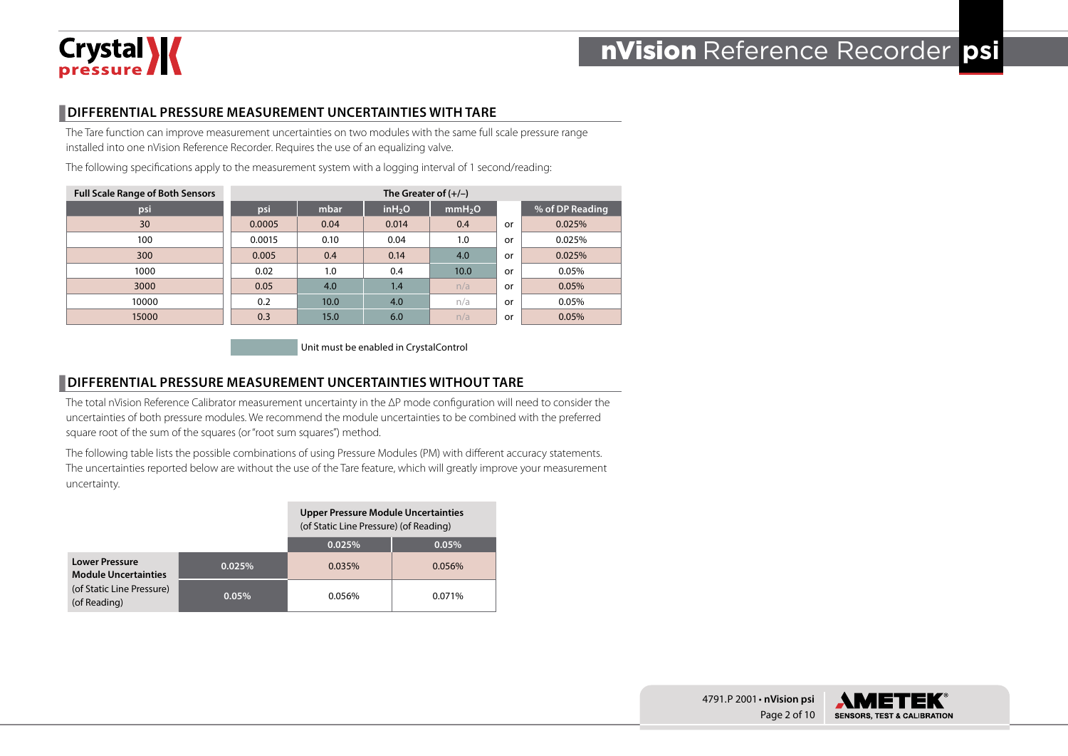

# **DIFFERENTIAL PRESSURE MEASUREMENT UNCERTAINTIES WITH TARE**

The Tare function can improve measurement uncertainties on two modules with the same full scale pressure range installed into one nVision Reference Recorder. Requires the use of an equalizing valve.

The following specifications apply to the measurement system with a logging interval of 1 second/reading:

| <b>Full Scale Range of Both Sensors</b> | The Greater of $(+/-)$ |      |                     |                    |    |                 |  |  |
|-----------------------------------------|------------------------|------|---------------------|--------------------|----|-----------------|--|--|
| psi                                     | psi                    | mbar | in H <sub>2</sub> O | mmH <sub>2</sub> O |    | % of DP Reading |  |  |
| 30                                      | 0.0005                 | 0.04 | 0.014               | 0.4                | or | 0.025%          |  |  |
| 100                                     | 0.0015                 | 0.10 | 0.04                | 1.0                | or | 0.025%          |  |  |
| 300                                     | 0.005                  | 0.4  | 0.14                | 4.0                | or | 0.025%          |  |  |
| 1000                                    | 0.02                   | 1.0  | 0.4                 | 10.0               | or | 0.05%           |  |  |
| 3000                                    | 0.05                   | 4.0  | 1.4                 | n/a                | or | 0.05%           |  |  |
| 10000                                   | 0.2                    | 10.0 | 4.0                 | n/a                | or | 0.05%           |  |  |
| 15000                                   | 0.3                    | 15.0 | 6.0                 | n/a                | or | 0.05%           |  |  |

Unit must be enabled in CrystalControl

# **DIFFERENTIAL PRESSURE MEASUREMENT UNCERTAINTIES WITHOUT TARE**

The total nVision Reference Calibrator measurement uncertainty in the ΔP mode configuration will need to consider the uncertainties of both pressure modules. We recommend the module uncertainties to be combined with the preferred square root of the sum of the squares (or "root sum squares") method.

The following table lists the possible combinations of using Pressure Modules (PM) with different accuracy statements. The uncertainties reported below are without the use of the Tare feature, which will greatly improve your measurement uncertainty.

|                                                      |        | <b>Upper Pressure Module Uncertainties</b><br>(of Static Line Pressure) (of Reading) |        |  |  |  |
|------------------------------------------------------|--------|--------------------------------------------------------------------------------------|--------|--|--|--|
|                                                      |        | 0.025%                                                                               | 0.05%  |  |  |  |
| <b>Lower Pressure</b><br><b>Module Uncertainties</b> | 0.025% | 0.035%                                                                               | 0.056% |  |  |  |
| (of Static Line Pressure)<br>(of Reading)            | 0.05%  | 0.056%                                                                               | 0.071% |  |  |  |

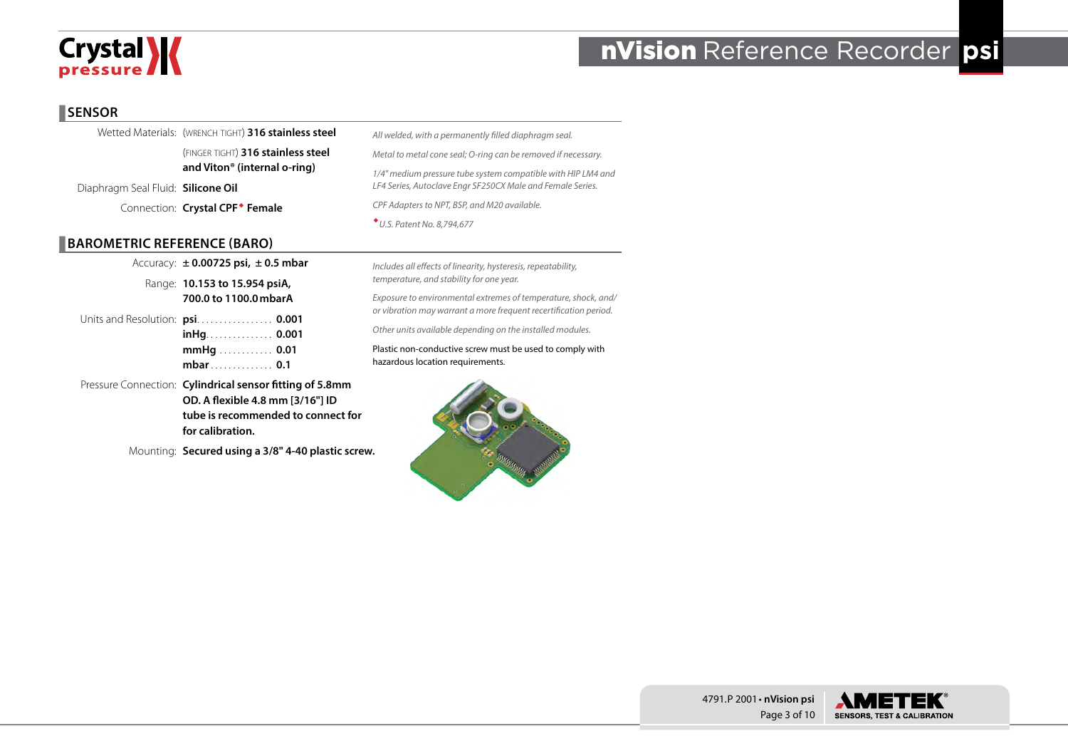

### **SENSOR**

|                                           | Wetted Materials: (WRENCH TIGHT) 316 stainless steel | All welded, with a permanently filled diaphragm seal.         |
|-------------------------------------------|------------------------------------------------------|---------------------------------------------------------------|
|                                           | (FINGER TIGHT) 316 stainless steel                   | Metal to metal cone seal; O-ring can be removed if necessary. |
|                                           | and Viton <sup>®</sup> (internal o-ring)             | 1/4" medium pressure tube system compatible with HIP LM4 and  |
| Diaphragm Seal Fluid: <b>Silicone Oil</b> |                                                      | LF4 Series, Autoclave Engr SF250CX Male and Female Series.    |
|                                           | Connection: Crystal CPF <sup>+</sup> Female          | CPF Adapters to NPT, BSP, and M20 available.                  |
|                                           |                                                      | * U.S. Patent No. 8,794,677                                   |

# **BAROMETRIC REFERENCE (BARO)**

Accuracy: **± 0.00725 psi, ± 0.5 mbar** Range: **10.153 to 15.954 psiA, 700.0 to 1100.0mbarA** Units and Resolution: **psi**. . **0.001 inHg**. . **0.001 mmHg**. . **0.01 mbar**. . **0.1**

Pressure Connection: **Cylindrical sensor fitting of 5.8mm OD. A flexible 4.8 mm [3/16"] ID tube is recommended to connect for for calibration.**

Mounting: **Secured using a 3/8" 4-40 plastic screw.**

*Includes all effects of linearity, hysteresis, repeatability, temperature, and stability for one year.* 

*Exposure to environmental extremes of temperature, shock, and/ or vibration may warrant a more frequent recertification period.*

*Other units available depending on the installed modules.*

Plastic non-conductive screw must be used to comply with hazardous location requirements.







4791.P 2001 • **nVision psi**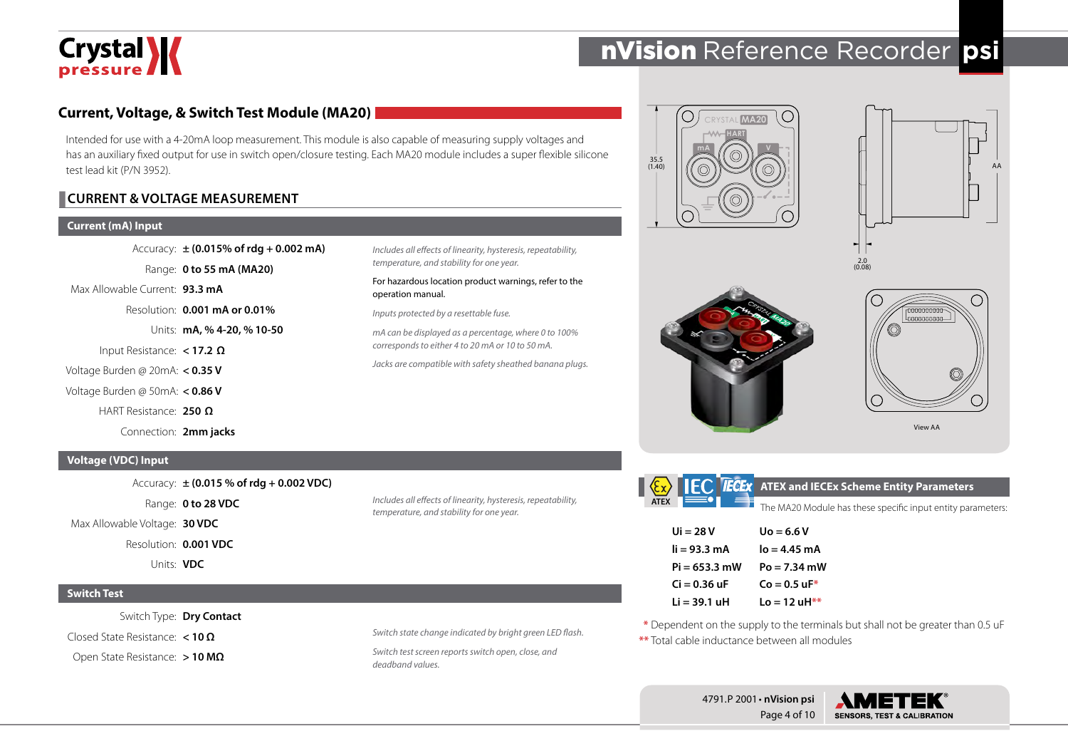

# **Current, Voltage, & Switch Test Module (MA20)**

Intended for use with a 4-20mA loop measurement. This module is also capable of measuring supply voltages and has an auxiliary fixed output for use in switch open/closure testing. Each MA20 module includes a super flexible silicone test lead kit (P/N 3952).

# **CURRENT & VOLTAGE MEASUREMENT**

#### **Current (mA) Input**

Accuracy: **± (0.015% of rdg + 0.002 mA)**

Range: **0 to 55 mA (MA20)**

Max Allowable Current: **93.3 mA**

Resolution: **0.001 mA or 0.01%**

Units: **mA, % 4-20, % 10-50**

Input Resistance: **< 17.2 Ω**

Voltage Burden @ 20mA: **< 0.35 V**

Voltage Burden @ 50mA: **< 0.86 V**

HART Resistance: **250 Ω**

Connection: **2mm jacks**

## **Voltage (VDC) Input**

Accuracy: **± (0.015 % of rdg + 0.002 VDC)**

Range: **0 to 28 VDC**

Max Allowable Voltage: **30 VDC**

Resolution: **0.001 VDC**

Units: **VDC**

#### **Switch Test**

Switch Type: **Dry Contact** Closed State Resistance: **< 10 Ω** Open State Resistance: **> 10 MΩ**

*Includes all effects of linearity, hysteresis, repeatability, temperature, and stability for one year.*

*Switch state change indicated by bright green LED flash. Switch test screen reports switch open, close, and* 

*Includes all effects of linearity, hysteresis, repeatability,* 

For hazardous location product warnings, refer to the

*mA can be displayed as a percentage, where 0 to 100% corresponds to either 4 to 20 mA or 10 to 50 mA.*

*Jacks are compatible with safety sheathed banana plugs.*

*temperature, and stability for one year.*

*Inputs protected by a resettable fuse.*

operation manual.

*deadband values.*

◯ CRYSTAL **MA20 HART mA V**  $35.5$ <br>(1.40)







View AA

**ATEX**

**ATEX and IECEx Scheme Entity Parameters**

| The MA20 Module has these specific input entity parameters: |  |  |  |
|-------------------------------------------------------------|--|--|--|
|                                                             |  |  |  |

| Ui = 28 V       | $U_0 = 6.6 V$          |
|-----------------|------------------------|
| li = 93.3 mA    | $I_0 = 4.45$ mA        |
| $Pi = 653.3$ mW | $Po = 7.34$ mW         |
| $Ci = 0.36$ uF  | $Co = 0.5 \text{ uF*}$ |
| Li = 39.1 uH    | Lo = 12 uH**           |

**\*** Dependent on the supply to the terminals but shall not be greater than 0.5 uF **\*\*** Total cable inductance between all modules



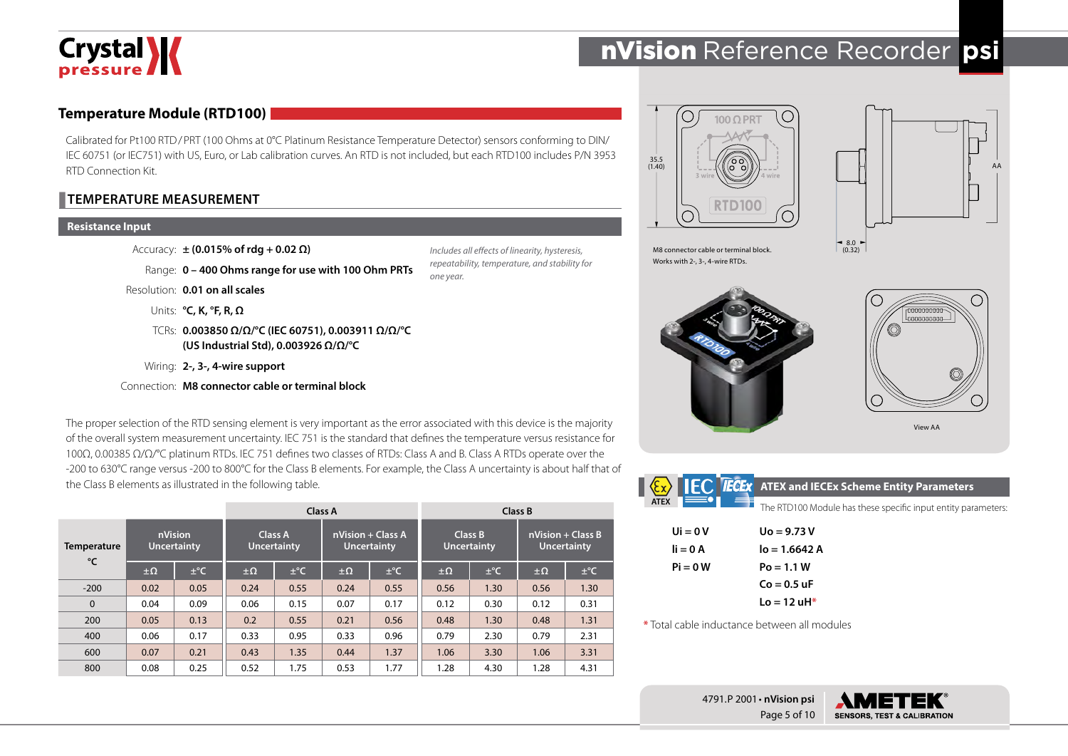

# **Temperature Module (RTD100)**

Calibrated for Pt100 RTD/PRT (100 Ohms at 0°C Platinum Resistance Temperature Detector) sensors conforming to DIN/ IEC 60751 (or IEC751) with US, Euro, or Lab calibration curves. An RTD is not included, but each RTD100 includes P/N 3953 RTD Connection Kit.

> *Includes all effects of linearity, hysteresis, repeatability, temperature, and stability for*

*one year.*

### **TEMPERATURE MEASUREMENT**

#### **Resistance Input**

Accuracy: **± (0.015% of rdg + 0.02 Ω)**

```
Range: 0 – 400 Ohms range for use with 100 Ohm PRTs
```
Resolution: **0.01 on all scales**

Units: **°C, K, °F, R, Ω**

TCRs: **0.003850 Ω/Ω/°C (IEC 60751), 0.003911 Ω/Ω/°C (US Industrial Std), 0.003926 Ω/Ω/°C**

Wiring: **2-, 3-, 4-wire support**

Connection: **M8 connector cable or terminal block**

The proper selection of the RTD sensing element is very important as the error associated with this device is the majority of the overall system measurement uncertainty. IEC 751 is the standard that defines the temperature versus resistance for 100Ω, 0.00385 Ω/Ω/°C platinum RTDs. IEC 751 defines two classes of RTDs: Class A and B. Class A RTDs operate over the -200 to 630°C range versus -200 to 800°C for the Class B elements. For example, the Class A uncertainty is about half that of the Class B elements as illustrated in the following table.

|                   |                               | Class A  |                               |          | Class B                                 |          |                               |          |                                           |          |
|-------------------|-------------------------------|----------|-------------------------------|----------|-----------------------------------------|----------|-------------------------------|----------|-------------------------------------------|----------|
| Temperature<br>°C | nVision<br><b>Uncertainty</b> |          | Class A<br><b>Uncertainty</b> |          | nVision + Class A<br><b>Uncertainty</b> |          | Class B<br><b>Uncertainty</b> |          | $nVision + Class B$<br><b>Uncertainty</b> |          |
|                   | $\pm \Omega$                  | $\pm$ °C | $\pm \Omega$                  | $\pm$ °C | $\pm \Omega$                            | $\pm$ °C | $\pm \Omega$                  | $\pm$ °C | $\pm \Omega$                              | $\pm$ °C |
| $-200$            | 0.02                          | 0.05     | 0.24                          | 0.55     | 0.24                                    | 0.55     | 0.56                          | 1.30     | 0.56                                      | 1.30     |
| $\Omega$          | 0.04                          | 0.09     | 0.06                          | 0.15     | 0.07                                    | 0.17     | 0.12                          | 0.30     | 0.12                                      | 0.31     |
| 200               | 0.05                          | 0.13     | 0.2                           | 0.55     | 0.21                                    | 0.56     | 0.48                          | 1.30     | 0.48                                      | 1.31     |
| 400               | 0.06                          | 0.17     | 0.33                          | 0.95     | 0.33                                    | 0.96     | 0.79                          | 2.30     | 0.79                                      | 2.31     |
| 600               | 0.07                          | 0.21     | 0.43                          | 1.35     | 0.44                                    | 1.37     | 1.06                          | 3.30     | 1.06                                      | 3.31     |
| 800               | 0.08                          | 0.25     | 0.52                          | 1.75     | 0.53                                    | 1.77     | 1.28                          | 4.30     | 1.28                                      | 4.31     |





M8 connector cable or terminal block. Works with 2-, 3-, 4-wire RTDs.





View AA

**SENSORS, TEST & CALIBRATION** 

|                                             | <b>IEC IECEX</b> ATEX and IECEx Scheme Entity Parameters      |
|---------------------------------------------|---------------------------------------------------------------|
| - 1<br><b>ATEX</b>                          | The RTD100 Module has these specific input entity parameters: |
| $Ui = 0V$                                   | $U_0 = 9.73 V$                                                |
| $i = 0A$                                    | $I_0 = 1.6642 A$                                              |
| $Pi = 0 W$                                  | $Po = 1.1 W$                                                  |
|                                             | $Co = 0.5$ uF                                                 |
|                                             | $Lo = 12 uH*$                                                 |
| *Total cable inductance between all modules |                                                               |
|                                             |                                                               |

4791.P 2001 • **nVision psi**

Page 5 of 10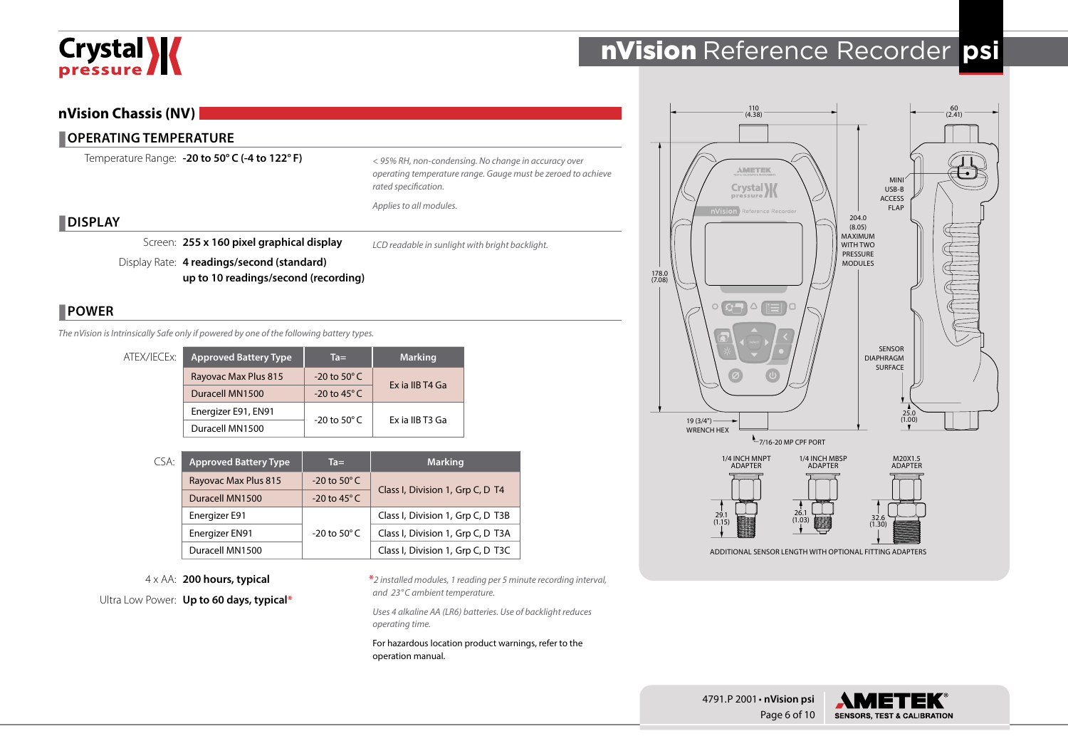

# **nVision Chassis (NV)**

## **COPERATING TEMPERATURE**

Temperature Range: **-20 to 50° C (-4 to 122° F)**

*< 95% RH, non-condensing. No change in accuracy over operating temperature range. Gauge must be zeroed to achieve rated specification.*

*Applies to all modules.*

### **DISPLAY**

Screen: **255 x 160 pixel graphical display**

*LCD readable in sunlight with bright backlight.*

Display Rate: **4 readings/second (standard) up to 10 readings/second (recording)**

# **POWER**

*The nVision is Intrinsically Safe only if powered by one of the following battery types.*

| ATEX/IECEx: | <b>Approved Battery Type</b> | $Ta =$                   | <b>Marking</b>  |  |  |
|-------------|------------------------------|--------------------------|-----------------|--|--|
|             | Rayovac Max Plus 815         | $-20$ to 50 $\degree$ C  |                 |  |  |
|             | Duracell MN1500              | $-20$ to 45 $^{\circ}$ C | Ex ia IIB T4 Ga |  |  |
|             | Energizer E91, EN91          |                          | Ex ia IIB T3 Ga |  |  |
|             | Duracell MN1500              | -20 to 50 $^{\circ}$ C   |                 |  |  |

| CSA: | <b>Approved Battery Type</b> | $Ta =$                   | <b>Marking</b>                    |  |  |
|------|------------------------------|--------------------------|-----------------------------------|--|--|
|      | Rayovac Max Plus 815         | $-20$ to 50 $\degree$ C  | Class I, Division 1, Grp C, D T4  |  |  |
|      | Duracell MN1500              | -20 to $45^{\circ}$ C    |                                   |  |  |
|      | Energizer E91                |                          | Class I, Division 1, Grp C, D T3B |  |  |
|      | Energizer EN91               | $-20$ to 50 $^{\circ}$ C | Class I, Division 1, Grp C, D T3A |  |  |
|      | Duracell MN1500              |                          | Class I, Division 1, Grp C, D T3C |  |  |

4 x AA: **200 hours, typical**

Ultra Low Power: **Up to 60 days, typical\***

**\****2 installed modules, 1 reading per 5 minute recording interval, and 23°C ambient temperature.*

*Uses 4 alkaline AA (LR6) batteries. Use of backlight reduces operating time.*

For hazardous location product warnings, refer to the operation manual.



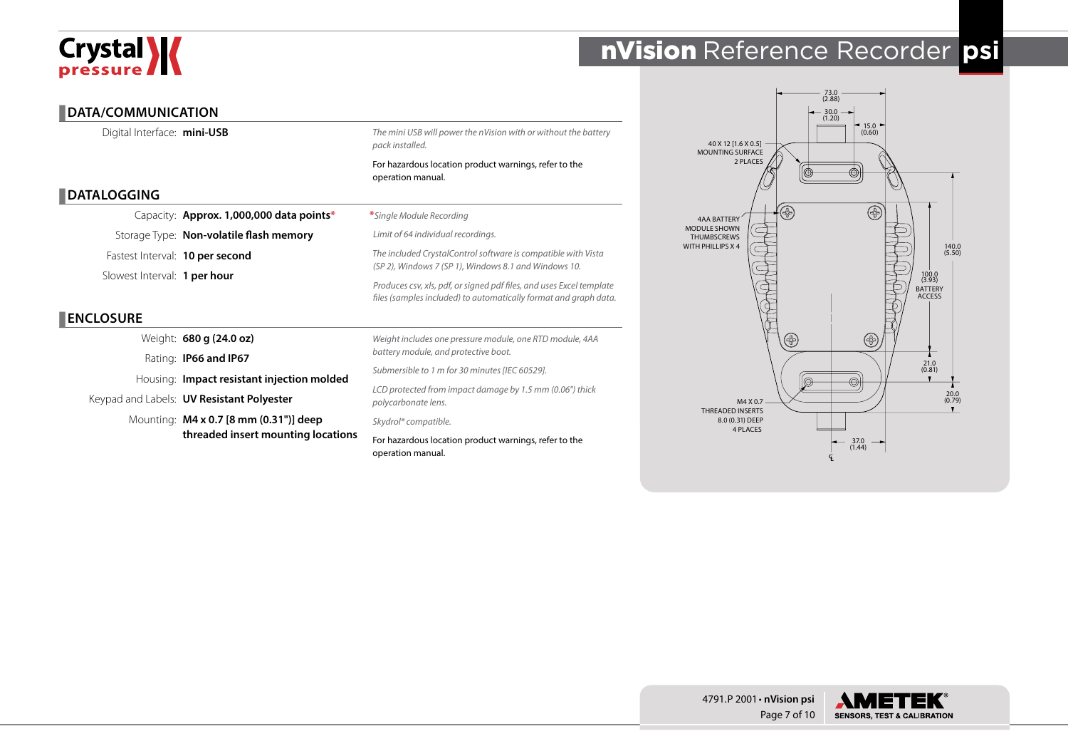# Crystal **X**

# nVision Reference Recorder **psi**

# **DATA/COMMUNICATION**

Digital Interface: **mini-USB**

*The mini USB will power the nVision with or without the battery pack installed.*

For hazardous location product warnings, refer to the operation manual.

# **DATALOGGING**

Capacity: **Approx. 1,000,000 data points\*** Storage Type: **Non-volatile flash memory** Fastest Interval: **10 per second** Slowest Interval: **1 per hour**

# **ENCLOSURE**

Weight: **680 g (24.0 oz)**

Rating: **IP66 and IP67**

Housing: **Impact resistant injection molded**

Keypad and Labels: **UV Resistant Polyester**

Mounting: **M4 x 0.7 [8 mm (0.31")] deep threaded insert mounting locations**

#### **\****Single Module Recording*

*Limit of 64 individual recordings.*

*The included CrystalControl software is compatible with Vista (SP 2), Windows 7 (SP 1), Windows 8.1 and Windows 10.*

*Produces csv, xls, pdf, or signed pdf files, and uses Excel template files (samples included) to automatically format and graph data.*

*Weight includes one pressure module, one RTD module, 4AA battery module, and protective boot.*

*Submersible to 1 m for 30 minutes [IEC 60529].*

*LCD protected from impact damage by 1.5 mm (0.06") thick polycarbonate lens.*

*Skydrol® compatible.*

For hazardous location product warnings, refer to the operation manual.



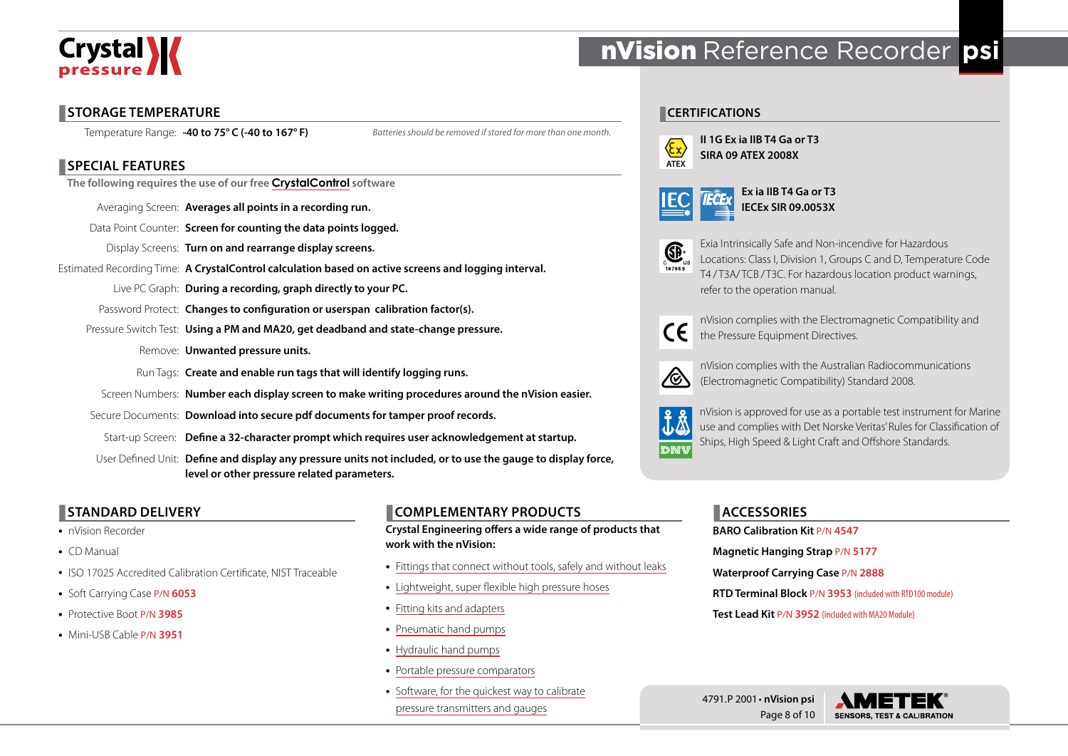

# **STORAGE TEMPERATURE**

Temperature Range: **-40 to 75° C (-40 to 167° F)**

*Batteries should be removed if stored for more than one month.*

# **SPECIAL FEATURES**

**The following requires the use of our free [CrystalControl](http://www.ametekcalibration.com/products/software/configuration-software/crystalcontrol) software**

Averaging Screen: **Averages all points in a recording run.**

Data Point Counter: **Screen for counting the data points logged.**

Display Screens: **Turn on and rearrange display screens.**

Estimated Recording Time: **A CrystalControl calculation based on active screens and logging interval.**

Live PC Graph: **During a recording, graph directly to your PC.**

Password Protect: **Changes to configuration or userspan calibration factor(s).**

Pressure Switch Test: **Using a PM and MA20, get deadband and state-change pressure.**

Remove: **Unwanted pressure units.**

Run Tags: **Create and enable run tags that will identify logging runs.**

Screen Numbers: **Number each display screen to make writing procedures around the nVision easier.**

Secure Documents: **Download into secure pdf documents for tamper proof records.**

Start-up Screen: **Define a 32-character prompt which requires user acknowledgement at startup.**

User Defined Unit: **Define and display any pressure units not included, or to use the gauge to display force, level or other pressure related parameters.**

# **STANDARD DELIVERY**

- nVision Recorder
- CD Manual
- ISO 17025 Accredited Calibration Certificate, NIST Traceable
- Soft Carrying Case P/N **<sup>6053</sup>**
- Protective Boot P/N **<sup>3985</sup>**
- Mini-USB Cable P/N **<sup>3951</sup>**

# **COMPLEMENTARY PRODUCTS**

**Crystal Engineering offers a wide range of products that work with the nVision:**

- [Fittings that connect without tools, safely and without leaks](http://www.ametekcalibration.com/products/pump-systems/pressure-fittings/cpf-high-pressure-fittings)
- [Lightweight, super flexible high pressure hoses](http://www.ametekcalibration.com/products/pump-systems/pressure-fittings/cpf-high-pressure-fittings)
- [Fitting kits and adapters](http://www.ametekcalibration.com/products/pump-systems/pressure-fittings/cpf-high-pressure-fittings)
- [Pneumatic hand pumps](http://www.ametekcalibration.com/products/pump-systems/pneumatic-hand-pumps)
- [Hydraulic hand pumps](http://www.ametekcalibration.com/products/pump-systems/hydraulic-hand-pumps)
- [Portable pressure comparators](http://www.ametekcalibration.com/products/pump-systems/pressure-comparators)
- [Software, for the quickest way to calibrate](http://www.ametekcalibration.com/products/software/calibration-software)  [pressure transmitters and gauges](http://www.ametekcalibration.com/products/software/calibration-software)

# nVision Reference Recorder **psi**

# **CERTIFICATIONS**



**II 1G Ex ia IIB T4 Ga or T3 SIRA 09 ATEX 2008X**

|--|--|--|





Exia Intrinsically Safe and Non-incendive for Hazardous Locations: Class I, Division 1, Groups C and D, Temperature Code T4/T3A/TCB/T3C. For hazardous location product warnings, refer to the operation manual.



nVision complies with the Electromagnetic Compatibility and the Pressure Equipment Directives.



nVision complies with the Australian Radiocommunications (Electromagnetic Compatibility) Standard 2008.



nVision is approved for use as a portable test instrument for Marine use and complies with Det Norske Veritas' Rules for Classification of Ships, High Speed & Light Craft and Offshore Standards.

# **ACCESSORIES**

**BARO Calibration Kit** P/N **4547 Magnetic Hanging Strap** P/N **5177 Waterproof Carrying Case** P/N **2888 RTD Terminal Block** P/N **3953** (included with RTD100 module) **Test Lead Kit** P/N **3952** (included with MA20 Module)

4791.P 2001 • **nVision psi** Page 8 of 10

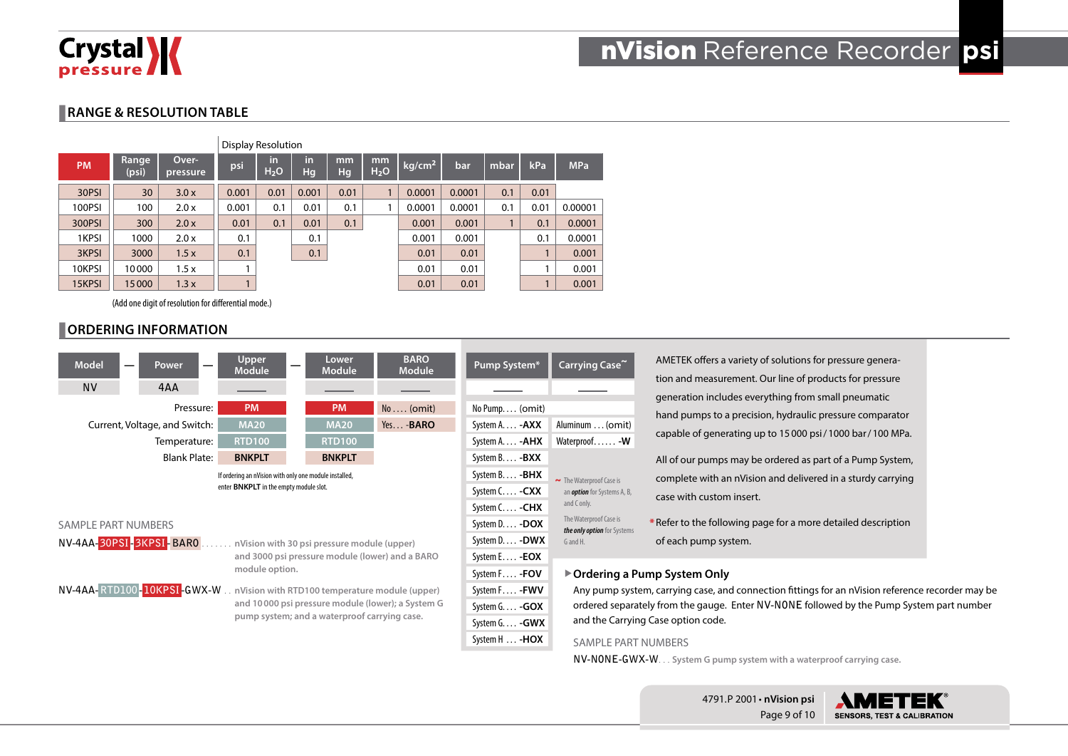

# **RANGE & RESOLUTION TABLE**

|           |                 |                   | Display Resolution |                        |          |          |                        |                    |        |      |      |            |
|-----------|-----------------|-------------------|--------------------|------------------------|----------|----------|------------------------|--------------------|--------|------|------|------------|
| <b>PM</b> | Range,<br>(psi) | Over-<br>pressure | psi                | in<br>H <sub>2</sub> O | in<br>Hg | mm<br>Hg | mm<br>H <sub>2</sub> O | kg/cm <sup>2</sup> | bar    | mbar | kPa  | <b>MPa</b> |
| 30PSI     | 30              | 3.0x              | 0.001              | 0.01                   | 0.001    | 0.01     |                        | 0.0001             | 0.0001 | 0.1  | 0.01 |            |
| 100PSI    | 100             | 2.0 x             | 0.001              | 0.1                    | 0.01     | 0.1      |                        | 0.0001             | 0.0001 | 0.1  | 0.01 | 0.00001    |
| 300PSI    | 300             | 2.0x              | 0.01               | 0.1                    | 0.01     | 0.1      |                        | 0.001              | 0.001  |      | 0.1  | 0.0001     |
| 1KPSI     | 1000            | 2.0 x             | 0.1                |                        | 0.1      |          |                        | 0.001              | 0.001  |      | 0.1  | 0.0001     |
| 3KPSI     | 3000            | 1.5x              | 0.1                |                        | 0.1      |          |                        | 0.01               | 0.01   |      |      | 0.001      |
| 10KPSI    | 10000           | 1.5x              | 1                  |                        |          |          |                        | 0.01               | 0.01   |      |      | 0.001      |
| 15KPSI    | 15000           | 1.3x              |                    |                        |          |          |                        | 0.01               | 0.01   |      |      | 0.001      |

(Add one digit of resolution for differential mode.)

# **ORDERING INFORMATION**



AMETEK offers a variety of solutions for pressure generation and measurement. Our line of products for pressure generation includes everything from small pneumatic hand pumps to a precision, hydraulic pressure comparator capable of generating up to 15000 psi/1000 bar/100 MPa.

All of our pumps may be ordered as part of a Pump System, complete with an nVision and delivered in a sturdy carrying case with custom insert.

\* Refer to the following page for a more detailed description of each pump system.

#### X**Ordering a Pump System Only**

Any pump system, carrying case, and connection fittings for an nVision reference recorder may be ordered separately from the gauge. Enter **NV-NONE** followed by the Pump System part number and the Carrying Case option code.

#### SAMPLE PART NUMBERS

**NV-NONE-GWX-W**. . **System G pump system with a waterproof carrying case.**